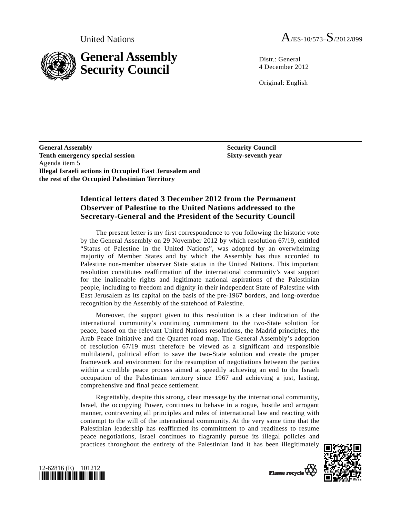

Distr · General 4 December 2012

Original: English

 **Security Council Sixty-seventh year** 

**General Assembly Tenth emergency special session**  Agenda item 5 **Illegal Israeli actions in Occupied East Jerusalem and the rest of the Occupied Palestinian Territory** 

## **Identical letters dated 3 December 2012 from the Permanent Observer of Palestine to the United Nations addressed to the Secretary-General and the President of the Security Council**

 The present letter is my first correspondence to you following the historic vote by the General Assembly on 29 November 2012 by which resolution 67/19, entitled "Status of Palestine in the United Nations", was adopted by an overwhelming majority of Member States and by which the Assembly has thus accorded to Palestine non-member observer State status in the United Nations. This important resolution constitutes reaffirmation of the international community's vast support for the inalienable rights and legitimate national aspirations of the Palestinian people, including to freedom and dignity in their independent State of Palestine with East Jerusalem as its capital on the basis of the pre-1967 borders, and long-overdue recognition by the Assembly of the statehood of Palestine.

 Moreover, the support given to this resolution is a clear indication of the international community's continuing commitment to the two-State solution for peace, based on the relevant United Nations resolutions, the Madrid principles, the Arab Peace Initiative and the Quartet road map. The General Assembly's adoption of resolution 67/19 must therefore be viewed as a significant and responsible multilateral, political effort to save the two-State solution and create the proper framework and environment for the resumption of negotiations between the parties within a credible peace process aimed at speedily achieving an end to the Israeli occupation of the Palestinian territory since 1967 and achieving a just, lasting, comprehensive and final peace settlement.

 Regrettably, despite this strong, clear message by the international community, Israel, the occupying Power, continues to behave in a rogue, hostile and arrogant manner, contravening all principles and rules of international law and reacting with contempt to the will of the international community. At the very same time that the Palestinian leadership has reaffirmed its commitment to and readiness to resume peace negotiations, Israel continues to flagrantly pursue its illegal policies and practices throughout the entirety of the Palestinian land it has been illegitimately





Please recycle<sup>7</sup>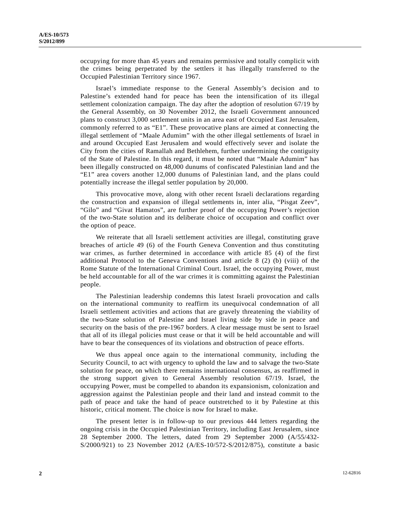occupying for more than 45 years and remains permissive and totally complicit with the crimes being perpetrated by the settlers it has illegally transferred to the Occupied Palestinian Territory since 1967.

 Israel's immediate response to the General Assembly's decision and to Palestine's extended hand for peace has been the intensification of its illegal settlement colonization campaign. The day after the adoption of resolution 67/19 by the General Assembly, on 30 November 2012, the Israeli Government announced plans to construct 3,000 settlement units in an area east of Occupied East Jerusalem, commonly referred to as "E1". These provocative plans are aimed at connecting the illegal settlement of "Maale Adumim" with the other illegal settlements of Israel in and around Occupied East Jerusalem and would effectively sever and isolate the City from the cities of Ramallah and Bethlehem, further undermining the contiguity of the State of Palestine. In this regard, it must be noted that "Maale Adumim" has been illegally constructed on 48,000 dunums of confiscated Palestinian land and the "E1" area covers another 12,000 dunums of Palestinian land, and the plans could potentially increase the illegal settler population by 20,000.

 This provocative move, along with other recent Israeli declarations regarding the construction and expansion of illegal settlements in, inter alia, "Pisgat Zeev", "Gilo" and "Givat Hamatos", are further proof of the occupying Power's rejection of the two-State solution and its deliberate choice of occupation and conflict over the option of peace.

 We reiterate that all Israeli settlement activities are illegal, constituting grave breaches of article 49 (6) of the Fourth Geneva Convention and thus constituting war crimes, as further determined in accordance with article 85 (4) of the first additional Protocol to the Geneva Conventions and article 8 (2) (b) (viii) of the Rome Statute of the International Criminal Court. Israel, the occupying Power, must be held accountable for all of the war crimes it is committing against the Palestinian people.

 The Palestinian leadership condemns this latest Israeli provocation and calls on the international community to reaffirm its unequivocal condemnation of all Israeli settlement activities and actions that are gravely threatening the viability of the two-State solution of Palestine and Israel living side by side in peace and security on the basis of the pre-1967 borders. A clear message must be sent to Israel that all of its illegal policies must cease or that it will be held accountable and will have to bear the consequences of its violations and obstruction of peace efforts.

 We thus appeal once again to the international community, including the Security Council, to act with urgency to uphold the law and to salvage the two-State solution for peace, on which there remains international consensus, as reaffirmed in the strong support given to General Assembly resolution 67/19. Israel, the occupying Power, must be compelled to abandon its expansionism, colonization and aggression against the Palestinian people and their land and instead commit to the path of peace and take the hand of peace outstretched to it by Palestine at this historic, critical moment. The choice is now for Israel to make.

 The present letter is in follow-up to our previous 444 letters regarding the ongoing crisis in the Occupied Palestinian Territory, including East Jerusalem, since 28 September 2000. The letters, dated from 29 September 2000 (A/55/432- S/2000/921) to 23 November 2012 (A/ES-10/572-S/2012/875), constitute a basic